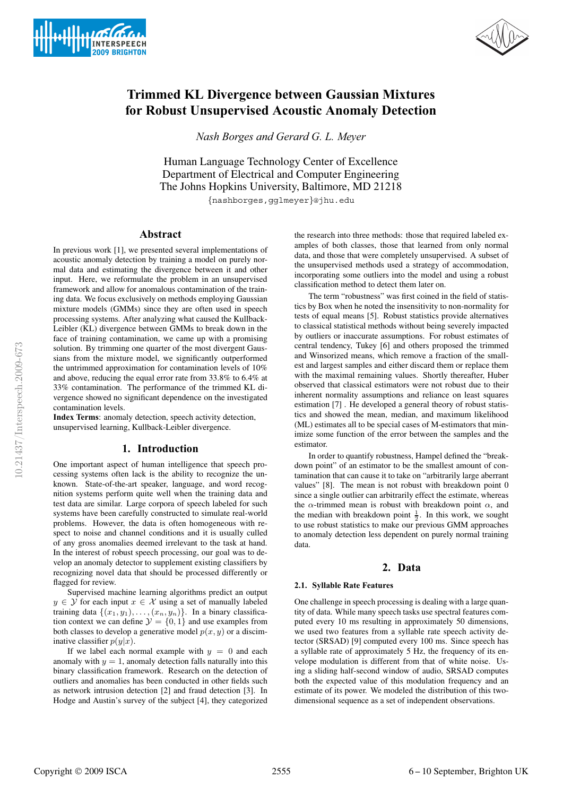



# **Trimmed KL Divergence between Gaussian Mixtures for Robust Unsupervised Acoustic Anomaly Detection**

*Nash Borges and Gerard G. L. Meyer*

Human Language Technology Center of Excellence Department of Electrical and Computer Engineering The Johns Hopkins University, Baltimore, MD 21218

{nashborges,gglmeyer}@jhu.edu

### **Abstract**

In previous work [1], we presented several implementations of acoustic anomaly detection by training a model on purely normal data and estimating the divergence between it and other input. Here, we reformulate the problem in an unsupervised framework and allow for anomalous contamination of the training data. We focus exclusively on methods employing Gaussian mixture models (GMMs) since they are often used in speech processing systems. After analyzing what caused the Kullback-Leibler (KL) divergence between GMMs to break down in the face of training contamination, we came up with a promising solution. By trimming one quarter of the most divergent Gaussians from the mixture model, we significantly outperformed the untrimmed approximation for contamination levels of 10% and above, reducing the equal error rate from 33.8% to 6.4% at 33% contamination. The performance of the trimmed KL divergence showed no significant dependence on the investigated contamination levels.

**Index Terms**: anomaly detection, speech activity detection, unsupervised learning, Kullback-Leibler divergence.

### **1. Introduction**

One important aspect of human intelligence that speech processing systems often lack is the ability to recognize the unknown. State-of-the-art speaker, language, and word recognition systems perform quite well when the training data and test data are similar. Large corpora of speech labeled for such systems have been carefully constructed to simulate real-world problems. However, the data is often homogeneous with respect to noise and channel conditions and it is usually culled of any gross anomalies deemed irrelevant to the task at hand. In the interest of robust speech processing, our goal was to develop an anomaly detector to supplement existing classifiers by recognizing novel data that should be processed differently or flagged for review.

Supervised machine learning algorithms predict an output  $y \in Y$  for each input  $x \in \mathcal{X}$  using a set of manually labeled training data  $\{(x_1, y_1), \ldots, (x_n, y_n)\}\$ . In a binary classification context we can define  $\mathcal{Y} = \{0, 1\}$  and use examples from both classes to develop a generative model  $p(x, y)$  or a disciminative classifier  $p(y|x)$ .

If we label each normal example with  $y = 0$  and each anomaly with  $y = 1$ , anomaly detection falls naturally into this binary classification framework. Research on the detection of outliers and anomalies has been conducted in other fields such as network intrusion detection [2] and fraud detection [3]. In Hodge and Austin's survey of the subject [4], they categorized the research into three methods: those that required labeled examples of both classes, those that learned from only normal data, and those that were completely unsupervised. A subset of the unsupervised methods used a strategy of accommodation, incorporating some outliers into the model and using a robust classification method to detect them later on.

The term "robustness" was first coined in the field of statistics by Box when he noted the insensitivity to non-normality for tests of equal means [5]. Robust statistics provide alternatives to classical statistical methods without being severely impacted by outliers or inaccurate assumptions. For robust estimates of central tendency, Tukey [6] and others proposed the trimmed and Winsorized means, which remove a fraction of the smallest and largest samples and either discard them or replace them with the maximal remaining values. Shortly thereafter, Huber observed that classical estimators were not robust due to their inherent normality assumptions and reliance on least squares estimation [7] . He developed a general theory of robust statistics and showed the mean, median, and maximum likelihood (ML) estimates all to be special cases of M-estimators that minimize some function of the error between the samples and the estimator.

In order to quantify robustness, Hampel defined the "breakdown point" of an estimator to be the smallest amount of contamination that can cause it to take on "arbitrarily large aberrant values" [8]. The mean is not robust with breakdown point 0 since a single outlier can arbitrarily effect the estimate, whereas the  $\alpha$ -trimmed mean is robust with breakdown point  $\alpha$ , and the median with breakdown point  $\frac{1}{2}$ . In this work, we sought to use robust statistics to make our previous GMM approaches to anomaly detection less dependent on purely normal training data.

#### **2. Data**

#### **2.1. Syllable Rate Features**

One challenge in speech processing is dealing with a large quantity of data. While many speech tasks use spectral features computed every 10 ms resulting in approximately 50 dimensions, we used two features from a syllable rate speech activity detector (SRSAD) [9] computed every 100 ms. Since speech has a syllable rate of approximately 5 Hz, the frequency of its envelope modulation is different from that of white noise. Using a sliding half-second window of audio, SRSAD computes both the expected value of this modulation frequency and an estimate of its power. We modeled the distribution of this twodimensional sequence as a set of independent observations.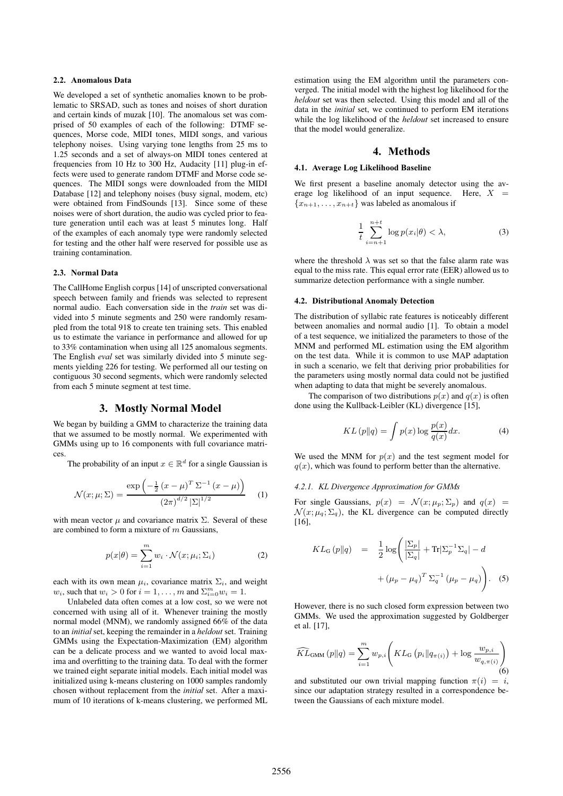#### **2.2. Anomalous Data**

We developed a set of synthetic anomalies known to be problematic to SRSAD, such as tones and noises of short duration and certain kinds of muzak [10]. The anomalous set was comprised of 50 examples of each of the following: DTMF sequences, Morse code, MIDI tones, MIDI songs, and various telephony noises. Using varying tone lengths from 25 ms to 1.25 seconds and a set of always-on MIDI tones centered at frequencies from 10 Hz to 300 Hz, Audacity [11] plug-in effects were used to generate random DTMF and Morse code sequences. The MIDI songs were downloaded from the MIDI Database [12] and telephony noises (busy signal, modem, etc) were obtained from FindSounds [13]. Since some of these noises were of short duration, the audio was cycled prior to feature generation until each was at least 5 minutes long. Half of the examples of each anomaly type were randomly selected for testing and the other half were reserved for possible use as training contamination.

#### **2.3. Normal Data**

The CallHome English corpus [14] of unscripted conversational speech between family and friends was selected to represent normal audio. Each conversation side in the *train* set was divided into 5 minute segments and 250 were randomly resampled from the total 918 to create ten training sets. This enabled us to estimate the variance in performance and allowed for up to 33% contamination when using all 125 anomalous segments. The English *eval* set was similarly divided into 5 minute segments yielding 226 for testing. We performed all our testing on contiguous 30 second segments, which were randomly selected from each 5 minute segment at test time.

#### **3. Mostly Normal Model**

We began by building a GMM to characterize the training data that we assumed to be mostly normal. We experimented with GMMs using up to 16 components with full covariance matrices.

The probability of an input  $x \in \mathbb{R}^d$  for a single Gaussian is

$$
\mathcal{N}(x; \mu; \Sigma) = \frac{\exp\left(-\frac{1}{2} (x - \mu)^T \Sigma^{-1} (x - \mu)\right)}{(2\pi)^{d/2} |\Sigma|^{1/2}} \tag{1}
$$

with mean vector  $\mu$  and covariance matrix  $\Sigma$ . Several of these are combined to form a mixture of  $m$  Gaussians,

$$
p(x|\theta) = \sum_{i=1}^{m} w_i \cdot \mathcal{N}(x; \mu_i; \Sigma_i)
$$
 (2)

each with its own mean  $\mu_i$ , covariance matrix  $\Sigma_i$ , and weight  $w_i$ , such that  $w_i > 0$  for  $i = 1, \ldots, m$  and  $\sum_{i=0}^{m} w_i = 1$ .

Unlabeled data often comes at a low cost, so we were not concerned with using all of it. Whenever training the mostly normal model (MNM), we randomly assigned 66% of the data to an *initial* set, keeping the remainder in a *heldout* set. Training GMMs using the Expectation-Maximization (EM) algorithm can be a delicate process and we wanted to avoid local maxima and overfitting to the training data. To deal with the former we trained eight separate initial models. Each initial model was initialized using k-means clustering on 1000 samples randomly chosen without replacement from the *initial* set. After a maximum of 10 iterations of k-means clustering, we performed ML

estimation using the EM algorithm until the parameters converged. The initial model with the highest log likelihood for the *heldout* set was then selected. Using this model and all of the data in the *initial* set, we continued to perform EM iterations while the log likelihood of the *heldout* set increased to ensure that the model would generalize.

### **4. Methods**

### **4.1. Average Log Likelihood Baseline**

We first present a baseline anomaly detector using the average log likelihood of an input sequence. Here,  $X =$  ${x_{n+1},...,x_{n+t}}$  was labeled as anomalous if

$$
\frac{1}{t}\sum_{i=n+1}^{n+t}\log p(x_i|\theta) < \lambda,\tag{3}
$$

where the threshold  $\lambda$  was set so that the false alarm rate was equal to the miss rate. This equal error rate (EER) allowed us to summarize detection performance with a single number.

#### **4.2. Distributional Anomaly Detection**

The distribution of syllabic rate features is noticeably different between anomalies and normal audio [1]. To obtain a model of a test sequence, we initialized the parameters to those of the MNM and performed ML estimation using the EM algorithm on the test data. While it is common to use MAP adaptation in such a scenario, we felt that deriving prior probabilities for the parameters using mostly normal data could not be justified when adapting to data that might be severely anomalous.

The comparison of two distributions  $p(x)$  and  $q(x)$  is often done using the Kullback-Leibler (KL) divergence [15],

$$
KL(p||q) = \int p(x) \log \frac{p(x)}{q(x)} dx.
$$
 (4)

We used the MNM for  $p(x)$  and the test segment model for  $q(x)$ , which was found to perform better than the alternative.

## *4.2.1. KL Divergence Approximation for GMMs*

For single Gaussians,  $p(x) = \mathcal{N}(x; \mu_p; \Sigma_p)$  and  $q(x) =$  $\mathcal{N}(x; \mu_q; \Sigma_q)$ , the KL divergence can be computed directly [16],

$$
KL_G(p||q) = \frac{1}{2}\log\left(\frac{|\Sigma_p|}{|\Sigma_q|} + \text{Tr}|\Sigma_p^{-1}\Sigma_q| - d\right)
$$

$$
+(\mu_p - \mu_q)^T \Sigma_q^{-1} (\mu_p - \mu_q)\right).
$$
 (5)

However, there is no such closed form expression between two GMMs. We used the approximation suggested by Goldberger et al. [17],

$$
\widehat{KL}_{\text{GMM}}\left(p\|q\right) = \sum_{i=1}^{m} w_{p,i} \left(KL_{\text{G}}\left(p_i\|q_{\pi(i)}\right) + \log \frac{w_{p,i}}{w_{q,\pi(i)}}\right)
$$
\n<sup>(6)</sup>

and substituted our own trivial mapping function  $\pi(i) = i$ , since our adaptation strategy resulted in a correspondence between the Gaussians of each mixture model.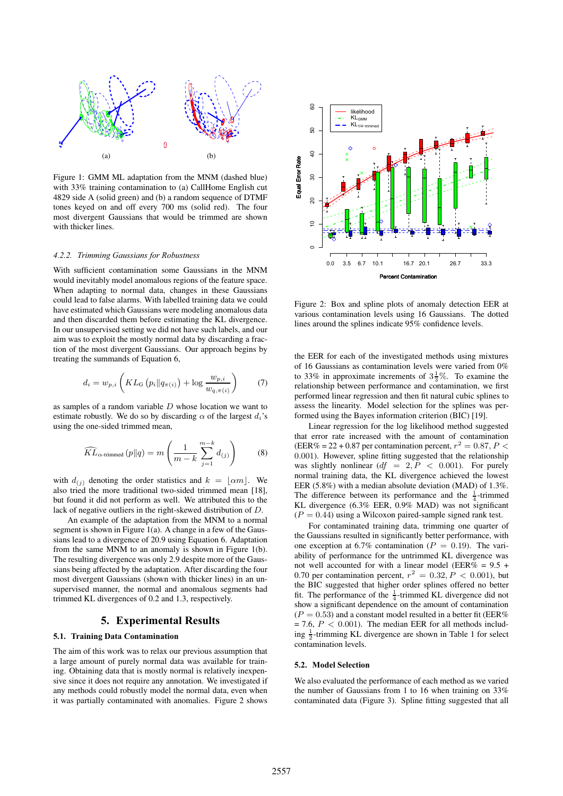

Figure 1: GMM ML adaptation from the MNM (dashed blue) with 33% training contamination to (a) CallHome English cut 4829 side A (solid green) and (b) a random sequence of DTMF tones keyed on and off every 700 ms (solid red). The four most divergent Gaussians that would be trimmed are shown with thicker lines.

#### *4.2.2. Trimming Gaussians for Robustness*

With sufficient contamination some Gaussians in the MNM would inevitably model anomalous regions of the feature space. When adapting to normal data, changes in these Gaussians could lead to false alarms. With labelled training data we could have estimated which Gaussians were modeling anomalous data and then discarded them before estimating the KL divergence. In our unsupervised setting we did not have such labels, and our aim was to exploit the mostly normal data by discarding a fraction of the most divergent Gaussians. Our approach begins by treating the summands of Equation 6,

$$
d_i = w_{p,i} \left( KL_G \left( p_i \| q_{\pi(i)} \right) + \log \frac{w_{p,i}}{w_{q,\pi(i)}} \right) \tag{7}
$$

as samples of a random variable D whose location we want to estimate robustly. We do so by discarding  $\alpha$  of the largest  $d_i$ 's using the one-sided trimmed mean,

$$
\widehat{KL}_{\alpha\text{-trimmed}}\left(p\|q\right) = m\left(\frac{1}{m-k}\sum_{j=1}^{m-k}d_{(j)}\right) \tag{8}
$$

with  $d_{(i)}$  denoting the order statistics and  $k = \lfloor \alpha m \rfloor$ . We also tried the more traditional two-sided trimmed mean [18], but found it did not perform as well. We attributed this to the lack of negative outliers in the right-skewed distribution of D.

An example of the adaptation from the MNM to a normal segment is shown in Figure 1(a). A change in a few of the Gaussians lead to a divergence of 20.9 using Equation 6. Adaptation from the same MNM to an anomaly is shown in Figure 1(b). The resulting divergence was only 2.9 despite more of the Gaussians being affected by the adaptation. After discarding the four most divergent Gaussians (shown with thicker lines) in an unsupervised manner, the normal and anomalous segments had trimmed KL divergences of 0.2 and 1.3, respectively.

### **5. Experimental Results**

### **5.1. Training Data Contamination**

The aim of this work was to relax our previous assumption that a large amount of purely normal data was available for training. Obtaining data that is mostly normal is relatively inexpensive since it does not require any annotation. We investigated if any methods could robustly model the normal data, even when it was partially contaminated with anomalies. Figure 2 shows



Figure 2: Box and spline plots of anomaly detection EER at various contamination levels using 16 Gaussians. The dotted lines around the splines indicate 95% confidence levels.

the EER for each of the investigated methods using mixtures of 16 Gaussians as contamination levels were varied from 0% to 33% in approximate increments of  $3\frac{1}{3}\%$ . To examine the relationship between performance and contamination, we first performed linear regression and then fit natural cubic splines to assess the linearity. Model selection for the splines was performed using the Bayes information criterion (BIC) [19].

Linear regression for the log likelihood method suggested that error rate increased with the amount of contamination (EER% = 22 + 0.87 per contamination percent,  $r^2 = 0.87$ ,  $P <$ 0.001). However, spline fitting suggested that the relationship was slightly nonlinear  $(df = 2, P < 0.001)$ . For purely normal training data, the KL divergence achieved the lowest EER (5.8%) with a median absolute deviation (MAD) of 1.3%. The difference between its performance and the  $\frac{1}{4}$ -trimmed KL divergence (6.3% EER, 0.9% MAD) was not significant  $(P = 0.44)$  using a Wilcoxon paired-sample signed rank test.

For contaminated training data, trimming one quarter of the Gaussians resulted in significantly better performance, with one exception at 6.7% contamination ( $P = 0.19$ ). The variability of performance for the untrimmed KL divergence was not well accounted for with a linear model (EER% =  $9.5 +$ 0.70 per contamination percent,  $r^2 = 0.32, P < 0.001$ , but the BIC suggested that higher order splines offered no better fit. The performance of the  $\frac{1}{4}$ -trimmed KL divergence did not show a significant dependence on the amount of contamination  $(P = 0.53)$  and a constant model resulted in a better fit (EER%)  $= 7.6, P < 0.001$ ). The median EER for all methods including  $\frac{1}{2}$ -trimming KL divergence are shown in Table 1 for select contamination levels.

#### **5.2. Model Selection**

We also evaluated the performance of each method as we varied the number of Gaussians from 1 to 16 when training on 33% contaminated data (Figure 3). Spline fitting suggested that all